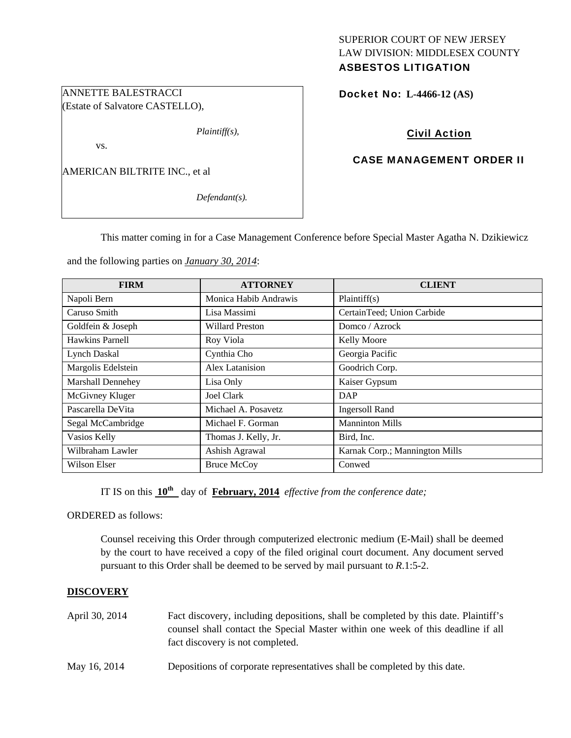# SUPERIOR COURT OF NEW JERSEY LAW DIVISION: MIDDLESEX COUNTY

# ASBESTOS LITIGATION

Docket No: **L-4466-12 (AS)** 

## Civil Action

## CASE MANAGEMENT ORDER II

AMERICAN BILTRITE INC., et al

ANNETTE BALESTRACCI (Estate of Salvatore CASTELLO),

vs.

*Defendant(s).* 

*Plaintiff(s),* 

This matter coming in for a Case Management Conference before Special Master Agatha N. Dzikiewicz

and the following parties on *January 30, 2014*:

| <b>FIRM</b>              | <b>ATTORNEY</b>        | <b>CLIENT</b>                  |
|--------------------------|------------------------|--------------------------------|
| Napoli Bern              | Monica Habib Andrawis  | Plaintiff(s)                   |
| Caruso Smith             | Lisa Massimi           | CertainTeed; Union Carbide     |
| Goldfein & Joseph        | <b>Willard Preston</b> | Domco / Azrock                 |
| Hawkins Parnell          | Roy Viola              | <b>Kelly Moore</b>             |
| Lynch Daskal             | Cynthia Cho            | Georgia Pacific                |
| Margolis Edelstein       | Alex Latanision        | Goodrich Corp.                 |
| <b>Marshall Dennehey</b> | Lisa Only              | Kaiser Gypsum                  |
| McGivney Kluger          | Joel Clark             | DAP                            |
| Pascarella DeVita        | Michael A. Posavetz    | <b>Ingersoll Rand</b>          |
| Segal McCambridge        | Michael F. Gorman      | <b>Manninton Mills</b>         |
| Vasios Kelly             | Thomas J. Kelly, Jr.   | Bird, Inc.                     |
| Wilbraham Lawler         | Ashish Agrawal         | Karnak Corp.; Mannington Mills |
| Wilson Elser             | <b>Bruce McCoy</b>     | Conwed                         |

IT IS on this  $10^{th}$  day of **February, 2014** *effective from the conference date;* 

ORDERED as follows:

Counsel receiving this Order through computerized electronic medium (E-Mail) shall be deemed by the court to have received a copy of the filed original court document. Any document served pursuant to this Order shall be deemed to be served by mail pursuant to *R*.1:5-2.

## **DISCOVERY**

| April 30, 2014 | Fact discovery, including depositions, shall be completed by this date. Plaintiff's |
|----------------|-------------------------------------------------------------------------------------|
|                | counsel shall contact the Special Master within one week of this deadline if all    |
|                | fact discovery is not completed.                                                    |
| May 16, 2014   | Depositions of corporate representatives shall be completed by this date.           |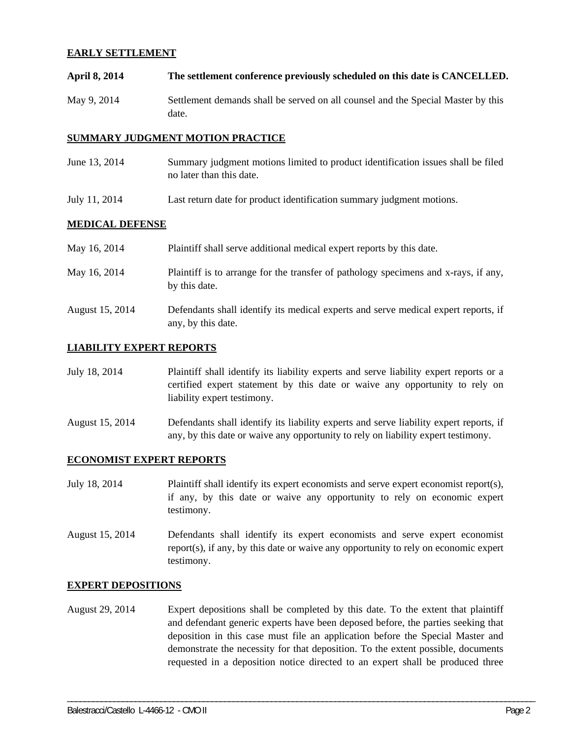#### **EARLY SETTLEMENT**

**April 8, 2014 The settlement conference previously scheduled on this date is CANCELLED.**  May 9, 2014 Settlement demands shall be served on all counsel and the Special Master by this date.

#### **SUMMARY JUDGMENT MOTION PRACTICE**

- June 13, 2014 Summary judgment motions limited to product identification issues shall be filed no later than this date.
- July 11, 2014 Last return date for product identification summary judgment motions.

#### **MEDICAL DEFENSE**

| May 16, 2014    | Plaintiff shall serve additional medical expert reports by this date.                                    |
|-----------------|----------------------------------------------------------------------------------------------------------|
| May 16, 2014    | Plaintiff is to arrange for the transfer of pathology specimens and x-rays, if any,<br>by this date.     |
| August 15, 2014 | Defendants shall identify its medical experts and serve medical expert reports, if<br>any, by this date. |

#### **LIABILITY EXPERT REPORTS**

July 18, 2014 Plaintiff shall identify its liability experts and serve liability expert reports or a certified expert statement by this date or waive any opportunity to rely on liability expert testimony.

August 15, 2014 Defendants shall identify its liability experts and serve liability expert reports, if any, by this date or waive any opportunity to rely on liability expert testimony.

#### **ECONOMIST EXPERT REPORTS**

- July 18, 2014 Plaintiff shall identify its expert economists and serve expert economist report(s), if any, by this date or waive any opportunity to rely on economic expert testimony.
- August 15, 2014 Defendants shall identify its expert economists and serve expert economist report(s), if any, by this date or waive any opportunity to rely on economic expert testimony.

#### **EXPERT DEPOSITIONS**

August 29, 2014 Expert depositions shall be completed by this date. To the extent that plaintiff and defendant generic experts have been deposed before, the parties seeking that deposition in this case must file an application before the Special Master and demonstrate the necessity for that deposition. To the extent possible, documents requested in a deposition notice directed to an expert shall be produced three

\_\_\_\_\_\_\_\_\_\_\_\_\_\_\_\_\_\_\_\_\_\_\_\_\_\_\_\_\_\_\_\_\_\_\_\_\_\_\_\_\_\_\_\_\_\_\_\_\_\_\_\_\_\_\_\_\_\_\_\_\_\_\_\_\_\_\_\_\_\_\_\_\_\_\_\_\_\_\_\_\_\_\_\_\_\_\_\_\_\_\_\_\_\_\_\_\_\_\_\_\_\_\_\_\_\_\_\_\_\_